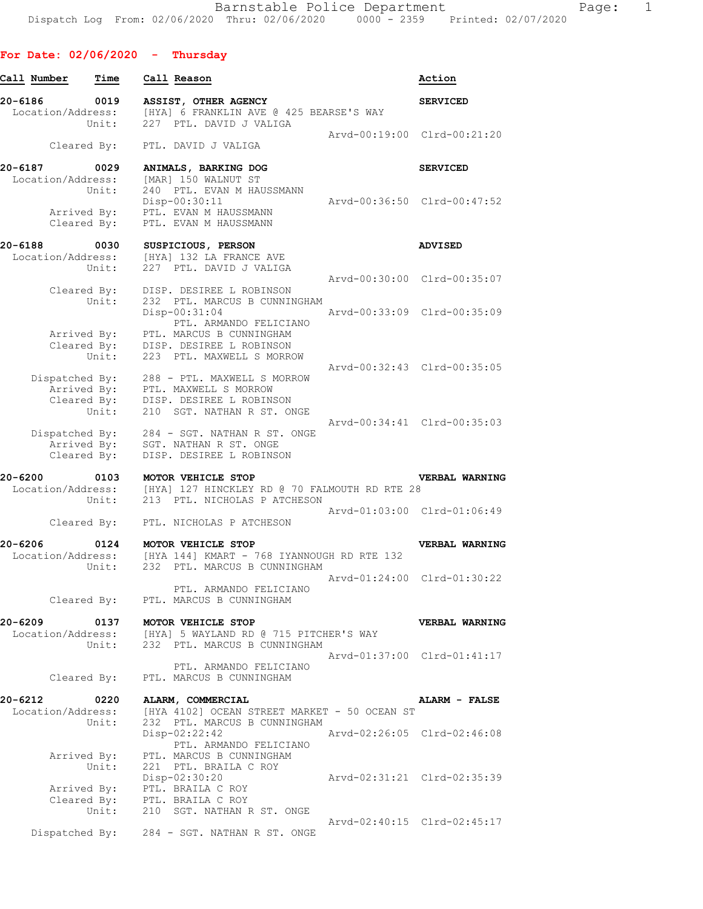## **For Date: 02/06/2020 - Thursday**

| Call Number                       | Time                                | Call Reason                                                                                                                     | Action                                         |
|-----------------------------------|-------------------------------------|---------------------------------------------------------------------------------------------------------------------------------|------------------------------------------------|
| 20-6186 0019<br>Location/Address: |                                     | ASSIST, OTHER AGENCY<br>[HYA] 6 FRANKLIN AVE @ 425 BEARSE'S WAY<br>Unit: 227 PTL. DAVID J VALIGA                                | <b>SERVICED</b>                                |
|                                   |                                     | Cleared By: PTL. DAVID J VALIGA                                                                                                 | Arvd-00:19:00 Clrd-00:21:20                    |
| 20-6187<br>Location/Address:      | 0029<br>Unit:                       | ANIMALS, BARKING DOG<br>[MAR] 150 WALNUT ST<br>240 PTL. EVAN M HAUSSMANN<br>Disp-00:30:11                                       | <b>SERVICED</b><br>Arvd-00:36:50 Clrd-00:47:52 |
|                                   | Cleared By:                         | Arrived By: PTL. EVAN M HAUSSMANN<br>PTL. EVAN M HAUSSMANN                                                                      |                                                |
| 20-6188<br>Location/Address:      | 0030<br>Unit:                       | SUSPICIOUS, PERSON<br>[HYA] 132 LA FRANCE AVE<br>227 PTL. DAVID J VALIGA                                                        | <b>ADVISED</b>                                 |
|                                   | Cleared By:<br>Unit:                | DISP. DESIREE L ROBINSON<br>232 PTL. MARCUS B CUNNINGHAM                                                                        | Arvd-00:30:00 Clrd-00:35:07                    |
|                                   | Cleared By:                         | Disp-00:31:04<br>PTL. ARMANDO FELICIANO<br>Arrived By: PTL. MARCUS B CUNNINGHAM<br>DISP. DESIREE L ROBINSON                     | Arvd-00:33:09 Clrd-00:35:09                    |
|                                   | Unit:                               | 223 PTL. MAXWELL S MORROW<br>Dispatched By: 288 - PTL. MAXWELL S MORROW<br>Arrived By: PTL. MAXWELL S MORROW                    | Arvd-00:32:43 Clrd-00:35:05                    |
|                                   | Cleared By:<br>Unit:<br>Arrived By: | DISP. DESIREE L ROBINSON<br>210 SGT. NATHAN R ST. ONGE<br>Dispatched By: 284 - SGT. NATHAN R ST. ONGE<br>SGT. NATHAN R ST. ONGE | Arvd-00:34:41 Clrd-00:35:03                    |
| $20 - 6200$                       | Cleared By:<br>0103                 | DISP. DESIREE L ROBINSON<br>MOTOR VEHICLE STOP                                                                                  | VERBAL WARNING                                 |
| Location/Address:                 | Unit:                               | [HYA] 127 HINCKLEY RD @ 70 FALMOUTH RD RTE 28<br>213 PTL. NICHOLAS P ATCHESON                                                   |                                                |
|                                   |                                     | Arvd-01:03:00 Clrd-01:06:49<br>Cleared By: PTL. NICHOLAS P ATCHESON                                                             |                                                |
| 20-6206<br>Unit:                  |                                     | 0124 MOTOR VEHICLE STOP<br>Location/Address: [HYA 144] KMART - 768 IYANNOUGH RD RTE 132<br>232 PTL. MARCUS B CUNNINGHAM         | VERBAL WARNING                                 |
|                                   |                                     | PTL. ARMANDO FELICIANO<br>Cleared By: PTL. MARCUS B CUNNINGHAM                                                                  | Arvd-01:24:00 Clrd-01:30:22                    |
| 20-6209<br>0137                   |                                     | MOTOR VEHICLE STOP<br>Location/Address: [HYA] 5 WAYLAND RD @ 715 PITCHER'S WAY<br>Unit: 232 PTL. MARCUS B CUNNINGHAM            | VERBAL WARNING                                 |
|                                   | Cleared By:                         | PTL. ARMANDO FELICIANO<br>PTL. MARCUS B CUNNINGHAM                                                                              | Arvd-01:37:00 Clrd-01:41:17                    |
| 20-6212<br>Location/Address:      | Unit:                               | 0220 ALARM, COMMERCIAL<br>[HYA 4102] OCEAN STREET MARKET - 50 OCEAN ST<br>232 PTL. MARCUS B CUNNINGHAM                          | <b>ALARM - FALSE</b>                           |
|                                   | Arrived By:                         | Disp-02:22:42<br>PTL. ARMANDO FELICIANO<br>PTL. MARCUS B CUNNINGHAM                                                             | Arvd-02:26:05 Clrd-02:46:08                    |
|                                   | Unit:                               | 221 PTL. BRAILA C ROY<br>Disp-02:30:20<br>Arrived By: PTL. BRAILA C ROY<br>Cleared By: PTL. BRAILA C ROY                        | Arvd-02:31:21 Clrd-02:35:39                    |
|                                   |                                     | Unit: 210 SGT. NATHAN R ST. ONGE                                                                                                | Arvd-02:40:15 Clrd-02:45:17                    |
|                                   |                                     | Dispatched By: 284 - SGT. NATHAN R ST. ONGE                                                                                     |                                                |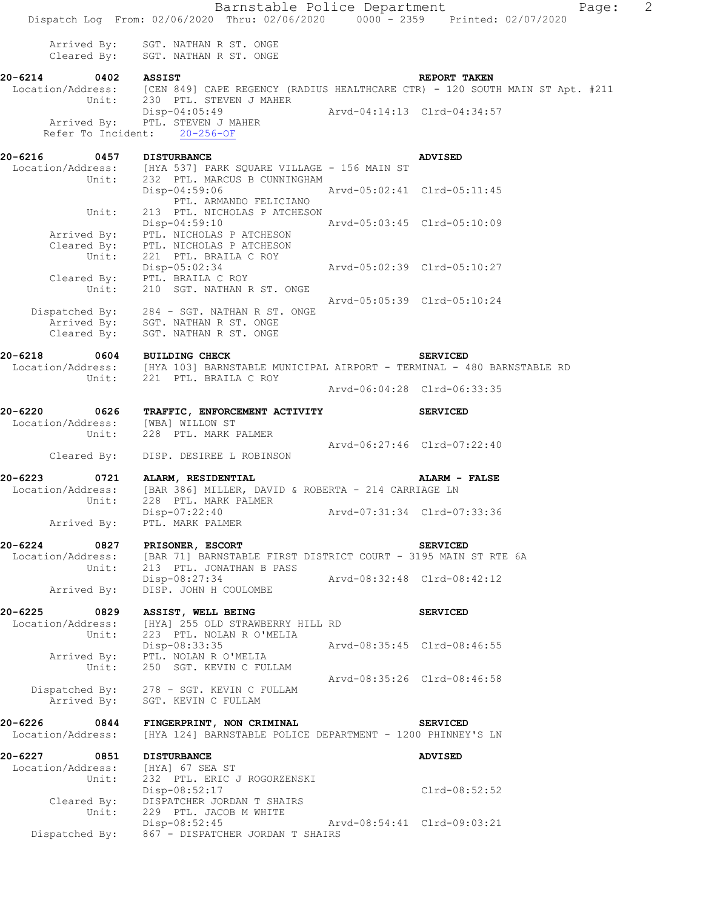Barnstable Police Department Page: 2 Dispatch Log From: 02/06/2020 Thru: 02/06/2020 0000 - 2359 Printed: 02/07/2020 Arrived By: SGT. NATHAN R ST. ONGE Cleared  $\bar{By}$ : SGT. NATHAN R ST. ONGE **20-6214 0402 ASSIST REPORT TAKEN**  Location/Address: [CEN 849] CAPE REGENCY (RADIUS HEALTHCARE CTR) - 120 SOUTH MAIN ST Apt. #211 Unit: 230 PTL. STEVEN J MAHER Disp-04:05:49 Arvd-04:14:13 Clrd-04:34:57 Disp-04:05:49<br>Arrived By: PTL. STEVEN J MAHER Refer To Incident: 20-256-OF **20-6216 0457 DISTURBANCE ADVISED**  Location/Address: [HYA 537] PARK SOUARE VILLAGE - 156 MAIN ST Unit: 232 PTL. MARCUS B CUNNINGHAM Disp-04:59:06 Arvd-05:02:41 Clrd-05:11:45 PTL. ARMANDO FELICIANO Unit: 213 PTL. NICHOLAS P ATCHESON Disp-04:59:10 Arvd-05:03:45 Clrd-05:10:09 Arrived By: PTL. NICHOLAS P ATCHESON Cleared By: PTL. NICHOLAS P ATCHESON Unit: 221 PTL. BRAILA C ROY Disp-05:02:34<br>
PTL. BRAILA C ROY<br>
210 SCT MATURY 1 - Cleared By: PTL. BRAILA C ROY Unit: 210 SGT. NATHAN R ST. ONGE Arvd-05:05:39 Clrd-05:10:24 Dispatched By: 284 - SGT. NATHAN R ST. ONGE .<br>Arrived By: SGT. NATHAN R ST. ONGE Cleared By: SGT. NATHAN R ST. ONGE **20-6218 0604 BUILDING CHECK SERVICED**  Location/Address: [HYA 103] BARNSTABLE MUNICIPAL AIRPORT - TERMINAL - 480 BARNSTABLE RD Unit: 221 PTL. BRAILA C ROY Arvd-06:04:28 Clrd-06:33:35 **20-6220 0626 TRAFFIC, ENFORCEMENT ACTIVITY SERVICED**  Location/Address: [WBA] WILLOW ST Unit: 228 PTL. MARK PALMER Arvd-06:27:46 Clrd-07:22:40 Cleared By: DISP. DESIREE L ROBINSON **20-6223 0721 ALARM, RESIDENTIAL ALARM - FALSE**  Location/Address: [BAR 386] MILLER, DAVID & ROBERTA - 214 CARRIAGE LN Unit: 228 PTL. MARK PALMER Disp-07:22:40 Arvd-07:31:34 Clrd-07:33:36 Disp-07:22:40<br>Arrived By: PTL. MARK PALMER **20-6224 0827 PRISONER, ESCORT SERVICED**  [BAR 71] BARNSTABLE FIRST DISTRICT COURT - 3195 MAIN ST RTE 6A Unit: 213 PTL. JONATHAN B PASS Disp-08:27:34 Arvd-08:32:48 Clrd-08:42:12 Arrived By: DISP. JOHN H COULOMBE **20-6225 0829 ASSIST, WELL BEING SERVICED**  Location/Address: [HYA] 255 OLD STRAWBERRY HILL RD Unit: 223 PTL. NOLAN R O'MELIA Disp-08:33:35 Arvd-08:35:45 Clrd-08:46:55 Disp-08:33:35<br>Arrived By: PTL. NOLAN R O'MELIA Unit: 250 SGT. KEVIN C FULLAM Arvd-08:35:26 Clrd-08:46:58 Dispatched By: 278 - SGT. KEVIN C FULLAM .<br>Arrived By: SGT. KEVIN C FULLAM **20-6226 0844 FINGERPRINT, NON CRIMINAL SERVICED**  Location/Address: [HYA 124] BARNSTABLE POLICE DEPARTMENT - 1200 PHINNEY'S LN **20-6227 0851 DISTURBANCE ADVISED**  Location/Address: [HYA] 67 SEA ST Unit: 232 PTL. ERIC J ROGORZENSKI Disp-08:52:17 Clrd-08:52:52 Cleared By: DISPATCHER JORDAN T SHAIRS Unit: 229 PTL. JACOB M WHITE Disp-08:52:45 Arvd-08:54:41 Clrd-09:03:21 Dispatched By: 867 - DISPATCHER JORDAN T SHAIRS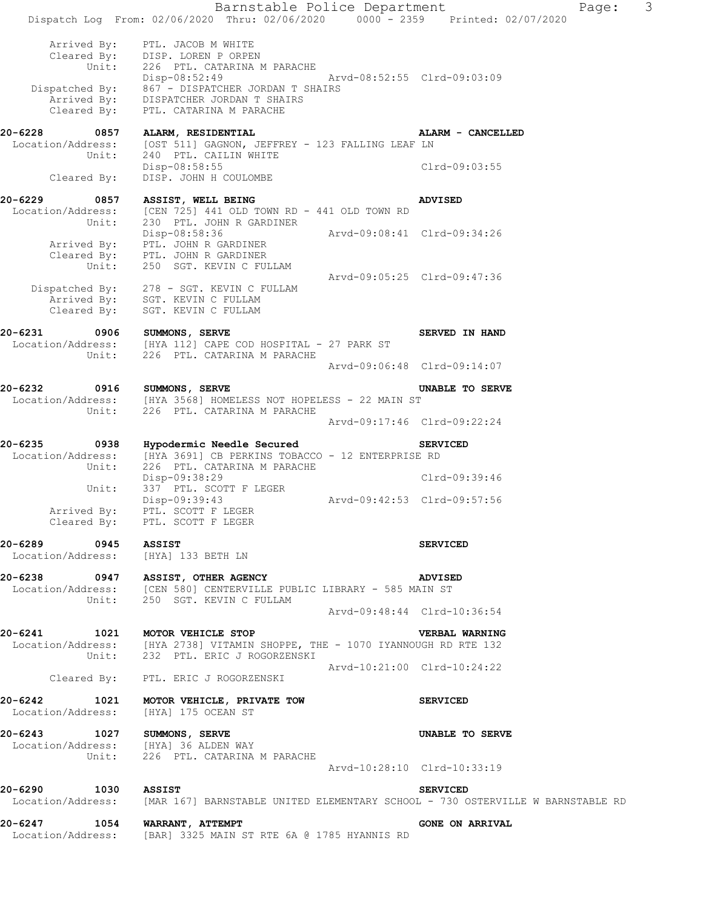|                                                            | Barnstable Police Department<br>Dispatch Log From: 02/06/2020 Thru: 02/06/2020 0000 - 2359 Printed: 02/07/2020                                                                                                                                   |                             |                                                | Page: | 3 |
|------------------------------------------------------------|--------------------------------------------------------------------------------------------------------------------------------------------------------------------------------------------------------------------------------------------------|-----------------------------|------------------------------------------------|-------|---|
|                                                            | Arrived By: PTL. JACOB M WHITE<br>Cleared By: DISP. LOREN P ORPEN<br>Unit: 226 PTL. CATARINA M PARACHE<br>Disp-08:52:49 Arvd-08:52:55 Clrd-09:03:09<br>Dispatched By: 867 - DISPATCHER JORDAN T SHAIRS<br>Arrived By: DISPATCHER JORDAN T SHAIRS |                             |                                                |       |   |
|                                                            | Cleared By: PTL. CATARINA M PARACHE                                                                                                                                                                                                              |                             |                                                |       |   |
| 20-6228 0857 ALARM, RESIDENTIAL<br>Unit:                   | Location/Address: [OST 511] GAGNON, JEFFREY - 123 FALLING LEAF LN<br>240 PTL. CAILIN WHITE                                                                                                                                                       |                             | ALARM - CANCELLED                              |       |   |
|                                                            | Disp-08:58:55<br>Cleared By: DISP. JOHN H COULOMBE                                                                                                                                                                                               |                             | Clrd-09:03:55                                  |       |   |
| 20-6229<br>0857<br>Unit:                                   | ASSIST, WELL BEING<br>Location/Address: [CEN 725] 441 OLD TOWN RD - 441 OLD TOWN RD<br>230 PTL. JOHN R GARDINER                                                                                                                                  |                             | <b>ADVISED</b>                                 |       |   |
|                                                            | Disp-08:58:36 Arvd-09:08:41 Clrd-09:34:26<br>Arrived By: PTL. JOHN R GARDINER<br>Cleared By: PTL. JOHN R GARDINER<br>Unit: 250 SGT. KEVIN C FULLAM                                                                                               |                             |                                                |       |   |
|                                                            | Dispatched By: 278 - SGT. KEVIN C FULLAM<br>Arrived By: SGT. KEVIN C FULLAM<br>Cleared By: SGT. KEVIN C FULLAM                                                                                                                                   | Arvd-09:05:25 Clrd-09:47:36 |                                                |       |   |
| 20-6231 0906 SUMMONS, SERVE                                | Location/Address: [HYA 112] CAPE COD HOSPITAL - 27 PARK ST                                                                                                                                                                                       |                             | SERVED IN HAND                                 |       |   |
|                                                            | Unit: 226 PTL. CATARINA M PARACHE                                                                                                                                                                                                                |                             | Arvd-09:06:48 Clrd-09:14:07                    |       |   |
| 20-6232 0916 SUMMONS, SERVE                                | Location/Address: [HYA 3568] HOMELESS NOT HOPELESS - 22 MAIN ST<br>Unit: 226 PTL. CATARINA M PARACHE                                                                                                                                             |                             | <b>UNABLE TO SERVE</b>                         |       |   |
|                                                            |                                                                                                                                                                                                                                                  |                             | Arvd-09:17:46 Clrd-09:22:24                    |       |   |
| 20-6235<br>$\overline{0938}$                               | Hypodermic Needle Secured<br>Location/Address: [HYA 3691] CB PERKINS TOBACCO - 12 ENTERPRISE RD<br>Unit: 226 PTL. CATARINA M PARACHE<br>Disp-09:38:29                                                                                            |                             | <b>SERVICED</b><br>Clrd-09:39:46               |       |   |
| Arrived By:                                                | Unit: 337 PTL. SCOTT F LEGER<br>$Disp-09:39:43$<br>PTL. SCOTT F LEGER                                                                                                                                                                            | Arvd-09:42:53 Clrd-09:57:56 |                                                |       |   |
|                                                            | Cleared By: PTL. SCOTT F LEGER                                                                                                                                                                                                                   |                             |                                                |       |   |
| 20-6289 0945 ASSIST<br>Location/Address: [HYA] 133 BETH LN |                                                                                                                                                                                                                                                  |                             | <b>SERVICED</b>                                |       |   |
|                                                            | 20-6238 0947 ASSIST, OTHER AGENCY ADVISE<br>Location/Address: [CEN 580] CENTERVILLE PUBLIC LIBRARY - 585 MAIN ST<br>Unit: 250 SGT. KEVIN C FULLAM                                                                                                |                             | <b>ADVISED</b>                                 |       |   |
|                                                            |                                                                                                                                                                                                                                                  |                             | Arvd-09:48:44 Clrd-10:36:54                    |       |   |
|                                                            | 20-6241 1021 MOTOR VEHICLE STOP<br>Location/Address: [HYA 2738] VITAMIN SHOPPE, THE - 1070 IYANNOUGH RD RTE 132<br>Unit: 232 PTL. ERIC J ROGORZENSKI                                                                                             |                             | <b>VERBAL WARNING</b>                          |       |   |
|                                                            | Cleared By: PTL. ERIC J ROGORZENSKI                                                                                                                                                                                                              |                             | Arvd-10:21:00 Clrd-10:24:22                    |       |   |
| Location/Address: [HYA] 175 OCEAN ST                       | 20-6242 1021 MOTOR VEHICLE, PRIVATE TOW                                                                                                                                                                                                          |                             | <b>SERVICED</b>                                |       |   |
| 20-6243 1027 SUMMONS, SERVE                                | Location/Address: [HYA] 36 ALDEN WAY<br>Unit: 226 PTL. CATARINA M PARACHE                                                                                                                                                                        |                             | UNABLE TO SERVE<br>Arvd-10:28:10 Clrd-10:33:19 |       |   |
| 20-6290 1030 ASSIST                                        | Location/Address: [MAR 167] BARNSTABLE UNITED ELEMENTARY SCHOOL - 730 OSTERVILLE W BARNSTABLE RD                                                                                                                                                 |                             | <b>SERVICED</b>                                |       |   |
| 20-6247 1054 WARRANT, ATTEMPT                              | Location/Address: [BAR] 3325 MAIN ST RTE 6A @ 1785 HYANNIS RD                                                                                                                                                                                    |                             | <b>GONE ON ARRIVAL</b>                         |       |   |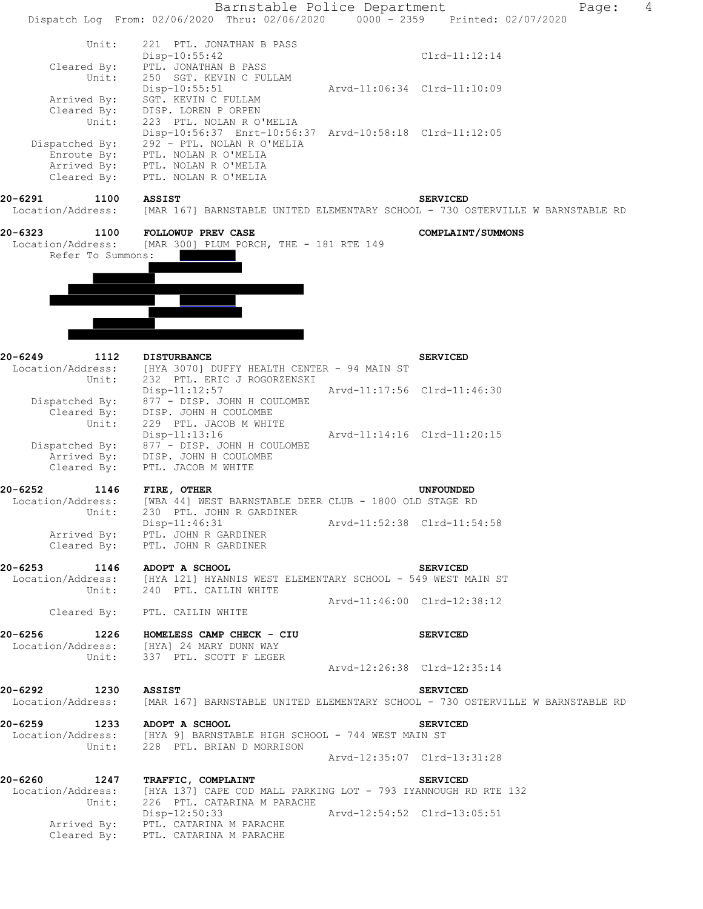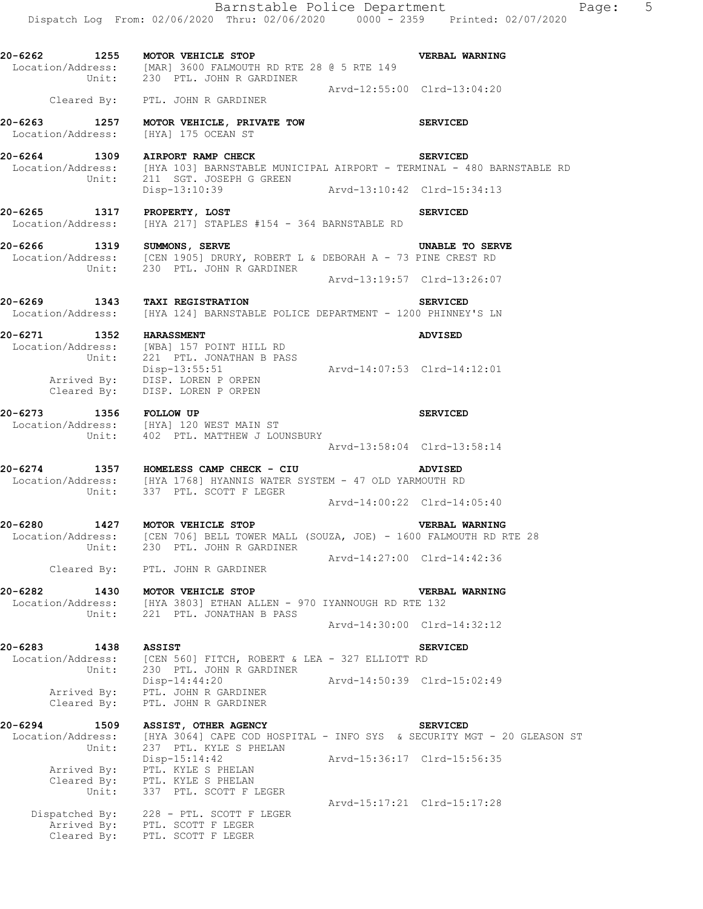|                                               | Dispatch Log From: 02/06/2020 Thru: 02/06/2020 0000 - 2359 Printed: 02/07/2020                                                                                                        |                             |
|-----------------------------------------------|---------------------------------------------------------------------------------------------------------------------------------------------------------------------------------------|-----------------------------|
|                                               | 20-6262 1255 MOTOR VEHICLE STOP<br>$Location/Address:$ [MAR] 3600 FALMOUTH RD RTE 28 $@$ 5 RTE 149<br>Unit: 230 PTL. JOHN R GARDINER                                                  | VERBAL WARNING              |
|                                               | Cleared By: PTL. JOHN R GARDINER                                                                                                                                                      | Arvd-12:55:00 Clrd-13:04:20 |
|                                               | 20-6263 1257 MOTOR VEHICLE, PRIVATE TOW<br>Location/Address: [HYA] 175 OCEAN ST                                                                                                       | <b>SERVICED</b>             |
|                                               | 20-6264 1309 AIRPORT RAMP CHECK SERVICED<br>Location/Address: [HYA 103] BARNSTABLE MUNICIPAL AIRPORT - TERMINAL - 480 BARNSTABLE RD<br>Unit: 211 SGT. JOSEPH G GREEN<br>Disp-13:10:39 | Arvd-13:10:42 Clrd-15:34:13 |
| 20-6265 1317 PROPERTY, LOST                   | Location/Address: [HYA 217] STAPLES #154 - 364 BARNSTABLE RD                                                                                                                          | <b>SERVICED</b>             |
|                                               | 20-6266 1319 SUMMONS, SERVE<br>Location/Address: [CEN 1905] DRURY, ROBERT L & DEBORAH A - 73 PINE CREST RD<br>Unit: 230 PTL. JOHN R GARDINER                                          | UNABLE TO SERVE             |
|                                               |                                                                                                                                                                                       | Arvd-13:19:57 Clrd-13:26:07 |
|                                               | 20-6269 1343 TAXI REGISTRATION<br>Location/Address: [HYA 124] BARNSTABLE POLICE DEPARTMENT - 1200 PHINNEY'S LN                                                                        | <b>SERVICED</b>             |
|                                               | 20-6271 1352 HARASSMENT<br>Location/Address: [WBA] 157 POINT HILL RD<br>Unit: 221 PTL. JONATHAN B PASS                                                                                | ADVISED                     |
|                                               | Disp-13:55:51<br>Arvd-14:07:53 Clrd-14:12:01<br>Club 1.57:53<br>Club 1.57:53<br>Cleared By: DISP. LOREN P ORPEN                                                                       |                             |
| 20-6273 1356 FOLLOW UP                        | Location/Address: [HYA] 120 WEST MAIN ST<br>Unit: 402 PTL. MATTHEW J LOUNSBURY                                                                                                        | <b>SERVICED</b>             |
|                                               |                                                                                                                                                                                       |                             |
|                                               | 20-6274 1357 HOMELESS CAMP CHECK - CIU<br>Location/Address: [HYA 1768] HYANNIS WATER SYSTEM - 47 OLD YARMOUTH RD<br>Unit: 337 PTL. SCOTT F LEGER                                      | ADVISED                     |
|                                               |                                                                                                                                                                                       | Arvd-14:00:22 Clrd-14:05:40 |
| 20-6280<br>Location/Address:<br>Unit:         | 1427 MOTOR VEHICLE STOP<br>[CEN 706] BELL TOWER MALL (SOUZA, JOE) - 1600 FALMOUTH RD RTE 28<br>230 PTL. JOHN R GARDINER                                                               | <b>VERBAL WARNING</b>       |
|                                               | Cleared By: PTL. JOHN R GARDINER                                                                                                                                                      | Arvd-14:27:00 Clrd-14:42:36 |
| 20-6282                                       | 1430 MOTOR VEHICLE STOP                                                                                                                                                               | VERBAL WARNING              |
|                                               | Location/Address: [HYA 3803] ETHAN ALLEN - 970 IYANNOUGH RD RTE 132<br>Unit: 221 PTL. JONATHAN B PASS                                                                                 |                             |
|                                               |                                                                                                                                                                                       | Arvd-14:30:00 Clrd-14:32:12 |
| 20-6283<br>1438<br>Unit:                      | <b>ASSIST</b><br>Location/Address: [CEN 560] FITCH, ROBERT & LEA - 327 ELLIOTT RD<br>230 PTL. JOHN R GARDINER                                                                         | <b>SERVICED</b>             |
| Arrived By:<br>Cleared By:                    | Disp-14:44:20<br>PTL. JOHN R GARDINER<br>PTL. JOHN R GARDINER                                                                                                                         | Arvd-14:50:39 Clrd-15:02:49 |
| 20-6294<br>1509<br>Location/Address:<br>Unit: | ASSIST, OTHER AGENCY<br>[HYA 3064] CAPE COD HOSPITAL - INFO SYS & SECURITY MGT - 20 GLEASON ST<br>237 PTL. KYLE S PHELAN                                                              | <b>SERVICED</b>             |
| Cleared By:<br>Unit:                          | $Disp-15:14:42$<br>Arrived By: PTL. KYLE S PHELAN<br>PTL. KYLE S PHELAN<br>337 PTL. SCOTT F LEGER                                                                                     | Arvd-15:36:17 Clrd-15:56:35 |
|                                               | Dispatched By: 228 - PTL. SCOTT F LEGER                                                                                                                                               | Arvd-15:17:21 Clrd-15:17:28 |
| Cleared By:                                   | Arrived By: PTL. SCOTT F LEGER<br>PTL. SCOTT F LEGER                                                                                                                                  |                             |

Barnstable Police Department Fage: 5 Dispatch Log From: 02/06/2020 Thru: 02/06/2020 0000 - 2359 Printed: 02/07/2020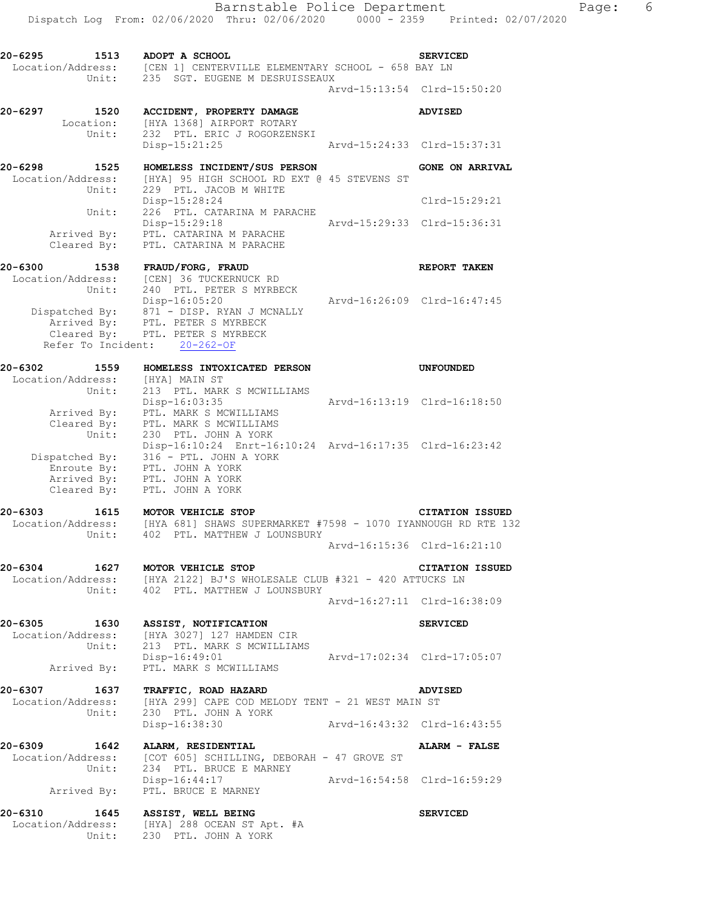**20-6295 1513 ADOPT A SCHOOL SERVICED**  Location/Address: [CEN 1] CENTERVILLE ELEMENTARY SCHOOL - 658 BAY LN Unit: 235 SGT. EUGENE M DESRUISSEAUX Arvd-15:13:54 Clrd-15:50:20 **20-6297 1520 ACCIDENT, PROPERTY DAMAGE ADVISED**  Location: [HYA 1368] AIRPORT ROTARY Unit: 232 PTL. ERIC J ROGORZENSKI Disp-15:21:25 Arvd-15:24:33 Clrd-15:37:31 **20-6298 1525 HOMELESS INCIDENT/SUS PERSON GONE ON ARRIVAL**  Location/Address: [HYA] 95 HIGH SCHOOL RD EXT @ 45 STEVENS ST Unit: 229 PTL. JACOB M WHITE Disp-15:28:24 Clrd-15:29:21 Unit: 226 PTL. CATARINA M PARACHE Disp-15:29:18 Arvd-15:29:33 Clrd-15:36:31 Disp-15:29:18<br>Arrived By: PTL. CATARINA M PARACHE Cleared By: PTL. CATARINA M PARACHE **20-6300 1538 FRAUD/FORG, FRAUD REPORT TAKEN**  Location/Address: [CEN] 36 TUCKERNUCK RD Unit: 240 PTL. PETER S MYRBECK Disp-16:05:20 Arvd-16:26:09 Clrd-16:47:45 Dispatched By: 871 - DISP. RYAN J MCNALLY .<br>Arrived Bv: PTL. PETER S MYRBECK Cleared By: PTL. PETER S MYRBECK Refer To Incident: 20-262-OF **20-6302 1559 HOMELESS INTOXICATED PERSON UNFOUNDED**  Location/Address: [HYA] MAIN ST Unit: 213 PTL. MARK S MCWILLIAMS Disp-16:03:35 Arvd-16:13:19 Clrd-16:18:50 Arrived By: PTL. MARK S MCWILLIAMS Cleared By: PTL. MARK S MCWILLIAMS Unit: 230 PTL. JOHN A YORK Disp-16:10:24 Enrt-16:10:24 Arvd-16:17:35 Clrd-16:23:42 Dispatched By: 316 - PTL. JOHN A YORK .<br>Enroute By: PTL. JOHN A YORK Arrived By: PTL. JOHN A YORK Cleared By: PTL. JOHN A YORK **20-6303 1615 MOTOR VEHICLE STOP CITATION ISSUED**  Location/Address: [HYA 681] SHAWS SUPERMARKET #7598 - 1070 IYANNOUGH RD RTE 132 Unit: 402 PTL. MATTHEW J LOUNSBURY Arvd-16:15:36 Clrd-16:21:10 **20-6304 1627 MOTOR VEHICLE STOP CITATION ISSUED**  Location/Address: [HYA 2122] BJ'S WHOLESALE CLUB #321 - 420 ATTUCKS LN Unit: 402 PTL. MATTHEW J LOUNSBURY Arvd-16:27:11 Clrd-16:38:09 **20-6305 1630 ASSIST, NOTIFICATION SERVICED**  Location/Address: [HYA 3027] 127 HAMDEN CIR Unit: 213 PTL. MARK S MCWILLIAMS Disp-16:49:01 Arvd-17:02:34 Clrd-17:05:07 Arrived By: PTL. MARK S MCWILLIAMS **20-6307 1637 TRAFFIC, ROAD HAZARD ADVISED**  Location/Address: [HYA 299] CAPE COD MELODY TENT - 21 WEST MAIN ST Unit: 230 PTL. JOHN A YORK Disp-16:38:30 Arvd-16:43:32 Clrd-16:43:55 **20-6309 1642 ALARM, RESIDENTIAL ALARM - FALSE**  Location/Address: [COT 605] SCHILLING, DEBORAH - 47 GROVE ST Unit: 234 PTL. BRUCE E MARNEY Disp-16:44:17 Arvd-16:54:58 Clrd-16:59:29 Arrived By: PTL. BRUCE E MARNEY **20-6310 1645 ASSIST, WELL BEING SERVICED**  Location/Address: [HYA] 288 OCEAN ST Apt. #A Unit: 230 PTL. JOHN A YORK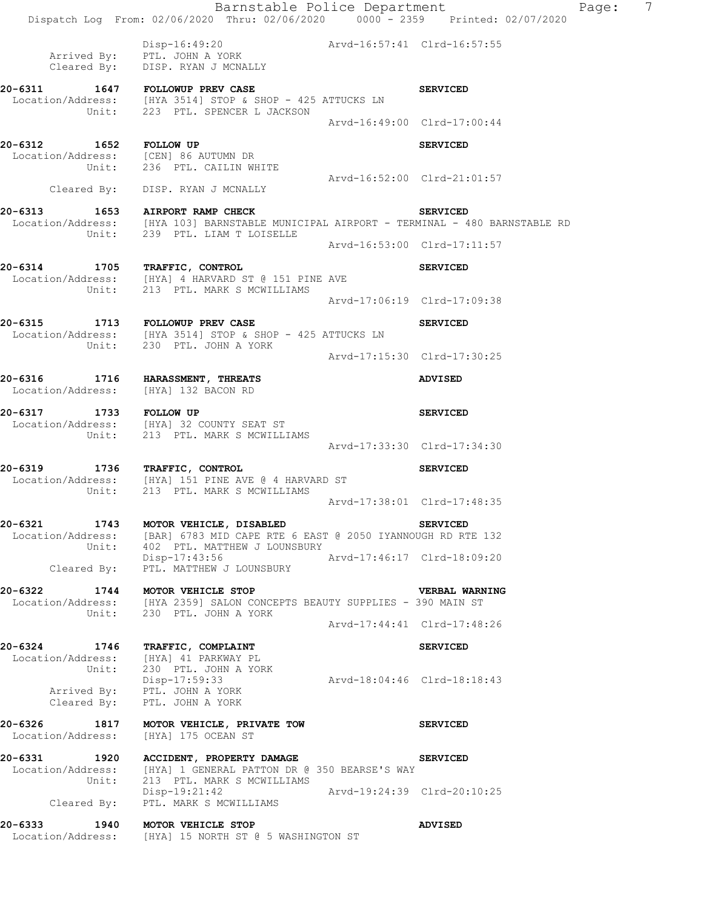Barnstable Police Department Fage: 7 Dispatch Log From: 02/06/2020 Thru: 02/06/2020 0000 - 2359 Printed: 02/07/2020 Disp-16:49:20 Arvd-16:57:41 Clrd-16:57:55 Arrived By: PTL. JOHN A YORK Cleared By: DISP. RYAN J MCNALLY 20-6311 1647 FOLLOWUP PREV CASE **SERVICED** Location/Address: [HYA 3514] STOP & SHOP - 425 ATTUCKS LN Unit: 223 PTL. SPENCER L JACKSON Arvd-16:49:00 Clrd-17:00:44 **20-6312 1652 FOLLOW UP SERVICED**  Location/Address: [CEN] 86 AUTUMN DR Unit: 236 PTL. CAILIN WHITE Arvd-16:52:00 Clrd-21:01:57 Cleared By: DISP. RYAN J MCNALLY **20-6313 1653 AIRPORT RAMP CHECK SERVICED**  Location/Address: [HYA 103] BARNSTABLE MUNICIPAL AIRPORT - TERMINAL - 480 BARNSTABLE RD Unit: 239 PTL. LIAM T LOISELLE Arvd-16:53:00 Clrd-17:11:57 **20-6314 1705 TRAFFIC, CONTROL SERVICED**  Location/Address: [HYA] 4 HARVARD ST @ 151 PINE AVE Unit: 213 PTL. MARK S MCWILLIAMS Arvd-17:06:19 Clrd-17:09:38 20-6315 1713 FOLLOWUP PREV CASE **1713** FOLLOWUP PREV CASE Location/Address: [HYA 3514] STOP & SHOP - 425 ATTUCKS LN Unit: 230 PTL. JOHN A YORK Arvd-17:15:30 Clrd-17:30:25 **20-6316 1716 HARASSMENT, THREATS ADVISED**  Location/Address: [HYA] 132 BACON RD **20-6317 1733 FOLLOW UP SERVICED**  Location/Address: [HYA] 32 COUNTY SEAT ST Unit: 213 PTL. MARK S MCWILLIAMS Arvd-17:33:30 Clrd-17:34:30 **20-6319 1736 TRAFFIC, CONTROL SERVICED**  Location/Address: [HYA] 151 PINE AVE @ 4 HARVARD ST Unit: 213 PTL. MARK S MCWILLIAMS Arvd-17:38:01 Clrd-17:48:35 **20-6321 1743 MOTOR VEHICLE, DISABLED SERVICED**  Location/Address: [BAR] 6783 MID CAPE RTE 6 EAST @ 2050 IYANNOUGH RD RTE 132 Unit: 402 PTL. MATTHEW J LOUNSBURY Disp-17:43:56 Arvd-17:46:17 Clrd-18:09:20 LISP-17:43:56<br>Cleared By: PTL. MATTHEW J LOUNSBURY **20-6322 1744 MOTOR VEHICLE STOP VERBAL WARNING**  Location/Address: [HYA 2359] SALON CONCEPTS BEAUTY SUPPLIES - 390 MAIN ST Unit: 230 PTL. JOHN A YORK Arvd-17:44:41 Clrd-17:48:26 **20-6324 1746 TRAFFIC, COMPLAINT SERVICED**  Location/Address: [HYA] 41 PARKWAY PL Unit: 230 PTL. JOHN A YORK Disp-17:59:33 Arvd-18:04:46 Clrd-18:18:43 Arrived By: PTL. JOHN A YORK Cleared By: PTL. JOHN A YORK **20-6326 1817 MOTOR VEHICLE, PRIVATE TOW SERVICED**  Location/Address: [HYA] 175 OCEAN ST **20-6331 1920 ACCIDENT, PROPERTY DAMAGE SERVICED**  Location/Address: [HYA] 1 GENERAL PATTON DR @ 350 BEARSE'S WAY Unit: 213 PTL. MARK S MCWILLIAMS Disp-19:21:42 Arvd-19:24:39 Clrd-20:10:25 Disp-19:21:42<br>Cleared By: PTL. MARK S MCWILLIAMS **20-6333 1940 MOTOR VEHICLE STOP ADVISED**  Location/Address: [HYA] 15 NORTH ST @ 5 WASHINGTON ST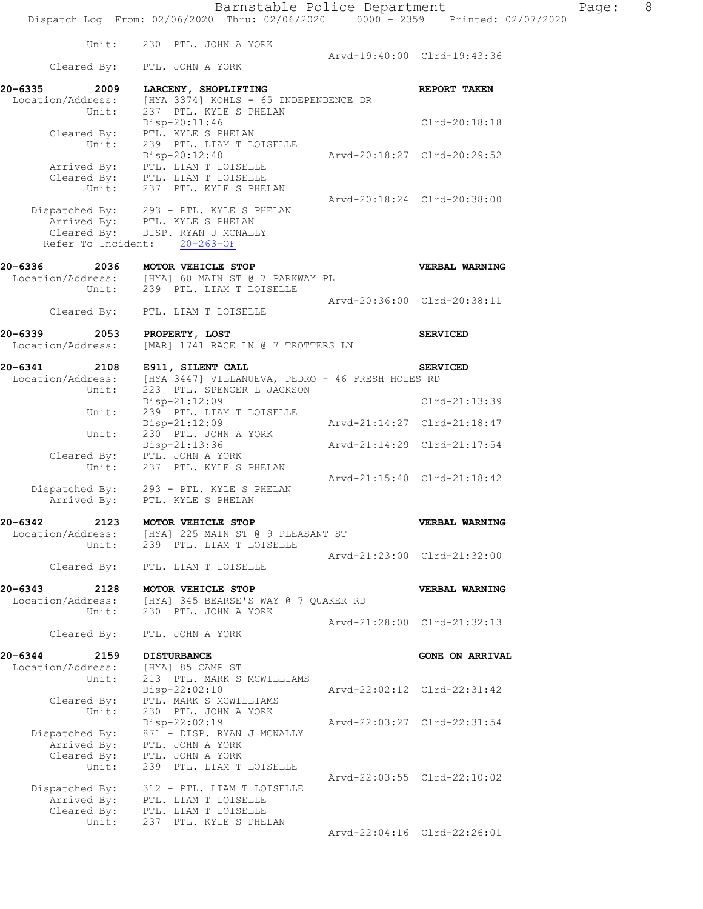|                                      | Unit:<br>230 PTL. JOHN A YORK                                          |                             |                             |
|--------------------------------------|------------------------------------------------------------------------|-----------------------------|-----------------------------|
|                                      | Cleared By: PTL. JOHN A YORK                                           | Arvd-19:40:00 Clrd-19:43:36 |                             |
| 20-6335<br>2009                      | LARCENY, SHOPLIFTING                                                   |                             | REPORT TAKEN                |
| Location/Address:                    | [HYA 3374] KOHLS - 65 INDEPENDENCE DR                                  |                             |                             |
| Unit:                                | 237 PTL. KYLE S PHELAN                                                 |                             |                             |
| Cleared By:                          | Disp-20:11:46<br>PTL. KYLE S PHELAN                                    |                             | Clrd-20:18:18               |
| Unit:                                | 239 PTL. LIAM T LOISELLE                                               |                             |                             |
|                                      | Disp-20:12:48                                                          |                             | Arvd-20:18:27 Clrd-20:29:52 |
| Arrived By:                          | PTL. LIAM T LOISELLE                                                   |                             |                             |
|                                      | Cleared By: PTL. LIAM T LOISELLE<br>Unit: 237 PTL. KYLE S PHELAN       |                             |                             |
|                                      |                                                                        | Arvd-20:18:24 Clrd-20:38:00 |                             |
|                                      |                                                                        |                             |                             |
|                                      | Dispatched By: 293 - PTL. KYLE S PHELAN Arrived By: PTL. KYLE S PHELAN |                             |                             |
|                                      | Cleared By: DISP. RYAN J MCNALLY                                       |                             |                             |
|                                      | Refer To Incident: 20-263-OF                                           |                             |                             |
| 20-6336<br>2036                      | MOTOR VEHICLE STOP                                                     |                             | VERBAL WARNING              |
|                                      | Location/Address: [HYA] 60 MAIN ST @ 7 PARKWAY PL                      |                             |                             |
|                                      | Unit: 239 PTL. LIAM T LOISELLE                                         |                             |                             |
|                                      | Cleared By: PTL. LIAM T LOISELLE                                       |                             | Arvd-20:36:00 Clrd-20:38:11 |
|                                      |                                                                        |                             |                             |
| 20-6339<br>2053                      | PROPERTY, LOST                                                         |                             | <b>SERVICED</b>             |
| Location/Address:                    | [MAR] 1741 RACE LN @ 7 TROTTERS LN                                     |                             |                             |
| 20-6341<br>2108                      | E911, SILENT CALL                                                      |                             | <b>SERVICED</b>             |
| Location/Address:                    | [HYA 3447] VILLANUEVA, PEDRO - 46 FRESH HOLES RD                       |                             |                             |
| Unit:                                | 223 PTL. SPENCER L JACKSON                                             |                             |                             |
|                                      | Disp-21:12:09                                                          |                             | Clrd-21:13:39               |
| Unit:                                | 239 PTL. LIAM T LOISELLE                                               | Arvd-21:14:27 Clrd-21:18:47 |                             |
| Unit:                                | $Disp-21:12:09$<br>230 PTL. JOHN A YORK                                |                             |                             |
|                                      | Disp-21:13:36                                                          | Arvd-21:14:29 Clrd-21:17:54 |                             |
| Cleared By:                          | PTL. JOHN A YORK                                                       |                             |                             |
| Unit:                                | 237 PTL. KYLE S PHELAN                                                 |                             |                             |
|                                      | Dispatched By: 293 - PTL. KYLE S PHELAN                                |                             | Arvd-21:15:40 Clrd-21:18:42 |
|                                      |                                                                        |                             |                             |
|                                      | PTL. KYLE S PHELAN                                                     |                             |                             |
| Arrived By:                          |                                                                        |                             |                             |
| 20-6342                              | 2123 MOTOR VEHICLE STOP                                                |                             | VERBAL WARNING              |
| Location/Address:                    | [HYA] 225 MAIN ST @ 9 PLEASANT ST                                      |                             |                             |
| Unit:                                | 239 PTL. LIAM T LOISELLE                                               | Arvd-21:23:00 Clrd-21:32:00 |                             |
|                                      | Cleared By: PTL. LIAM T LOISELLE                                       |                             |                             |
|                                      |                                                                        |                             |                             |
| $20 - 6343$<br>2128                  | MOTOR VEHICLE STOP                                                     |                             | VERBAL WARNING              |
| Location/Address:<br>Unit:           | [HYA] 345 BEARSE'S WAY @ 7 QUAKER RD<br>230 PTL. JOHN A YORK           |                             |                             |
|                                      |                                                                        |                             | Arvd-21:28:00 Clrd-21:32:13 |
| Cleared By:                          | PTL. JOHN A YORK                                                       |                             |                             |
|                                      |                                                                        |                             |                             |
| 20-6344<br>2159<br>Location/Address: | <b>DISTURBANCE</b><br>[HYA] 85 CAMP ST                                 |                             | <b>GONE ON ARRIVAL</b>      |
| Unit:                                | 213 PTL. MARK S MCWILLIAMS                                             |                             |                             |
|                                      | Disp-22:02:10                                                          |                             | Arvd-22:02:12 Clrd-22:31:42 |
| Cleared By:                          | PTL. MARK S MCWILLIAMS                                                 |                             |                             |
| Unit:                                | 230 PTL. JOHN A YORK                                                   |                             | Arvd-22:03:27 Clrd-22:31:54 |
| Dispatched By:                       | Disp-22:02:19<br>871 - DISP. RYAN J MCNALLY                            |                             |                             |
| Arrived By:                          | PTL. JOHN A YORK                                                       |                             |                             |
| Cleared By:                          | PTL. JOHN A YORK                                                       |                             |                             |
| Unit:                                | 239 PTL. LIAM T LOISELLE                                               |                             |                             |
| Dispatched By:                       | 312 - PTL. LIAM T LOISELLE                                             |                             | Arvd-22:03:55 Clrd-22:10:02 |
| Arrived By:                          | PTL. LIAM T LOISELLE                                                   |                             |                             |
| Cleared By:                          | PTL. LIAM T LOISELLE                                                   |                             |                             |
| Unit:                                | 237 PTL. KYLE S PHELAN                                                 |                             | Arvd-22:04:16 Clrd-22:26:01 |